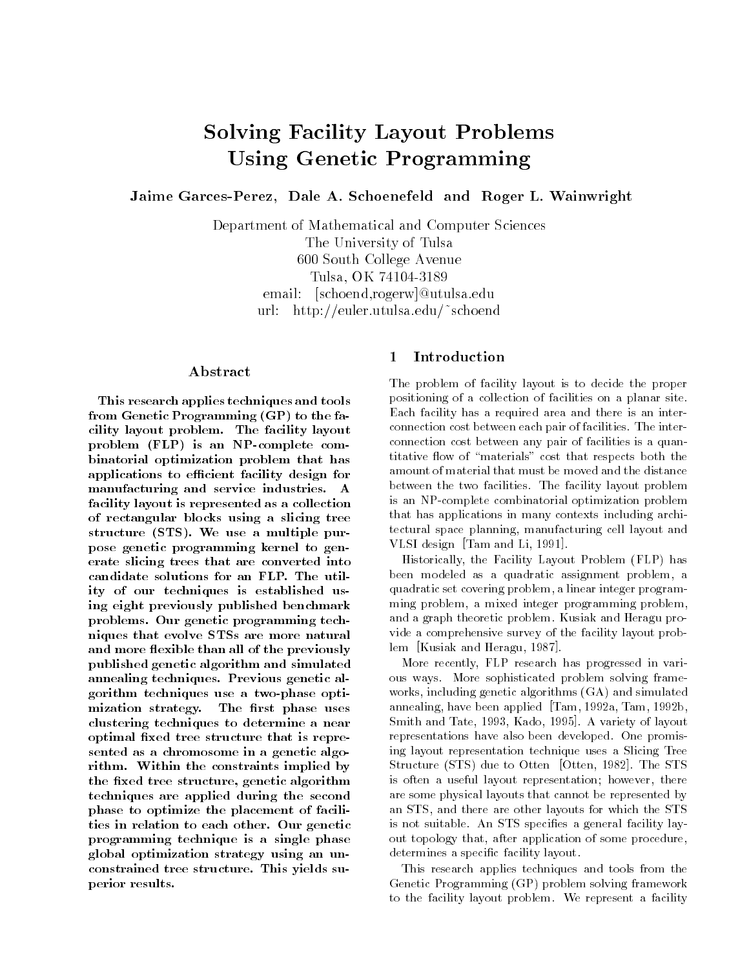# Solving Facility Layout ProblemsUsing Genetic Programming

Jaime GarcesPerez Dale A- Schoenefeld and Roger L- Wainwright

Department of Mathematical and Computer Sciences The University of Tulsa 600 South College Avenue Tulsa- OK email utus est and a second control of the second control of the second control of the second control of the second control of the second control of the second control of the second control of the second control of the second co urliche europäischoende und der deutschoende en der deutschoende en der deutschoende en der deutschoende en de

## Abstract

This research applies techniques and tools from Genetic Programming  $(GP)$  to the facility layout problem. The facility layout problem FLP is an  $P$  -complete complete complete complete complete complete complete complete complete complete combinatorial optimization problem that has applications to efficient facility design for manufacturing and service industries. A facility layout is represented as a collection of rectangular blocks using a slicing tree structure (STS). We use a multiple purpose genetic programming kernel to generate slicing trees that are converted into candidate solutions for an FLP. The utility of our techniques is established using eight previously published benchmark problems. Our genetic programming techniques that evolve STSs are more natural and more flexible than all of the previously published genetic algorithm and simulated annealing techniques. Previous genetic algorithm techniques use a two-phase optimization strategy. The first phase uses clustering techniques to determine a near optimal fixed tree structure that is represented as a chromosome in a genetic algorithm. Within the constraints implied by the fixed tree structure, genetic algorithm techniques are applied during the second phase to optimize the placement of facilities in relation to each other. Our genetic programming technique is a single phase global optimization strategy using an unconstrained tree structure. This yields superior results

# Introduction

The problem of facility layout is to decide the proper positioning of a collection of facilities on a planar site Each facility has a required area and there is an inter connection cost between each pair of facilities The inter connection cost between any pair of facilities is a quan titative - own of materials cost that respects both that respects both that respects both the  $\mathbb{R}^n$ amount of material that must be moved and the distance between the two facilities. The facility layout problem is an NPcomplete combinatorial optimization problem that has applications in many contexts including archi tectural space planning, manufacturing cell layout and VLSI design [Tam and Li, 1991].

Historically the Facility Layout Problem FLP has been modeled as a quadratic assignment problem, a quadratic set covering problem a linear integer program ming problem, a mixed integer programming problem, and a graph theoretic problem Kusiak and Heragu pro vide a comprehensive survey of the facility layout prob lem [Kusiak and Heragu, 1987].

More recently, FLP research has progressed in various ways. More sophisticated problem solving frameworks including genetic algorithms GA and simulated annealing, have been applied  $[Tam, 1992a, Tam, 1992b,$ Smith and Tate, 1993, Kado, 1995. A variety of layout representations have also been developed. One promising layout representation technique uses a Slicing Tree Structure (DID) and to Otten (Otten), IDOL, III DID is often a useful layout representation; however, there are some physical layouts that cannot be represented by an STS and there are other layouts for which the STS is not suitable. An STS specifies a general facility layout topology that, after application of some procedure, determines a specific facility layout.

This research applies techniques and tools from the Genetic Programming GP problem solving framework to the facility layout problem. We represent a facility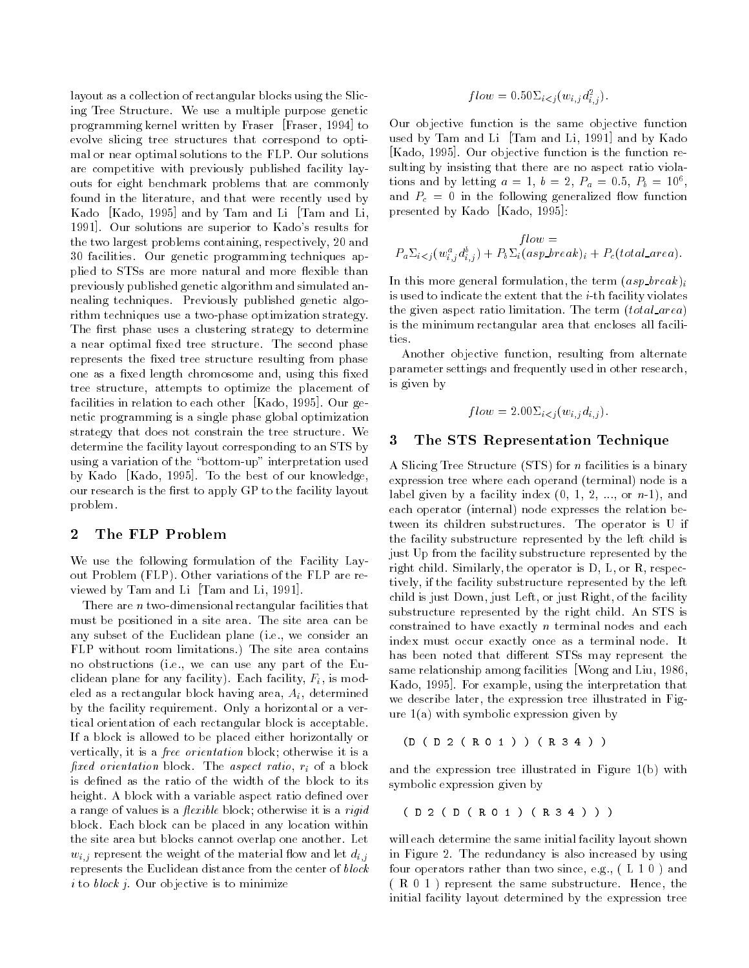layout as a collection of rectangular blocks using the Slic ing Tree Structure. We use a multiple purpose genetic programming kernel written by Fraser [Fraser, 1994] to evolve slicing tree structures that correspond to opti mal or near optimal solutions to the FLP Our solutions are competitive with previously published facility lay outs for eight benchmark problems that are commonly found in the literature, and that were recently used by Kado  $[Kado, 1995]$  and by Tam and Li  $[Tam and Li,$ 1991]. Our solutions are superior to Kado's results for the two largest problems containing, respectively, 20 and 30 facilities. Our genetic programming techniques applied to STSs are more and more and more and more and more and more - than than the state than the state than  $\sim$ previously published genetic algorithm and simulated an nealing techniques. Previously published genetic algorithm techniques use a two-phase optimization strategy. The first phase uses a clustering strategy to determine a near optimal fixed tree structure. The second phase represents the fixed tree structure resulting from phase one as a fixed length chromosome and, using this fixed tree structure, attempts to optimize the placement of facilities in relation to each other [Kado, 1995]. Our genetic programming is a single phase global optimization strategy that does not constrain the tree structure. We determine the facility layout corresponding to an STS by using a variation of the "bottom-up" interpretation used by Kado [Kado, 1995]. To the best of our knowledge, our research is the first to apply GP to the facility layout problem

#### $\bf{2}$ The FLP Problem

We use the following formulation of the Facility Lay out Problem FLP Other variations of the FLP are re viewed by Tam and Li [Tam and Li, 1991].

There are  $n$  two-dimensional rectangular facilities that must be positioned in a site area The site area can be any subset of the Euclidean plane  $\blacksquare$ FLP without room limitations.) The site area contains no obstructions and the European use any part of the European use any part of the European use any part of the clidean plane for any facility). Each facility,  $F_i$ , is modeled as a rectangular block having area,  $A_i$ , determined by the facility requirement. Only a horizontal or a vertical orientation of each rectangular block is acceptable If a block is allowed to be placed either horizontally or vertically, it is a *free orientation* block; otherwise it is a fixed orientation block. The aspect ratio,  $r_i$  of a block is defined as the ratio of the width of the block to its height. A block with a variable aspect ratio defined over a range of values is a *flexible* block; otherwise it is a *rigid* block Each block can be placed in any location within the site area but blocks cannot overlap one another. Let with represent the material  $\Omega$ represents the Euclidean distance from the center of block  $i$  to block j. Our objective is to minimize

$$
flow = 0.50\Sigma_{i < j}(w_{i,j}d_{i,j}^2).
$$

Our objective function is the same objective function used by Tam and Li [Tam and Li, 1991] and by Kado [Kado, 1995]. Our objective function is the function resulting by insisting that there are no aspect ratio viola tions and by letting  $a = 1, b = 2, F_a = 0.5, F_b = 10^{\circ}$ , and Pc in the following generalized -ow function presented by Kado [Kado, 1995]:

$$
flow =
$$
  

$$
P_a \Sigma_{i
$$

and the correct general formulation the term the term  $\{n \cdot \mu\}$ is used to indicate the extent that the  $i$ -th facility violates the given aspect ratio induction ratio ratio the term is  $\sim$ is the minimum rectangular area that encloses all facili ties.

Another objective function, resulting from alternate parameter settings and frequently used in other research is given by

$$
flow = 2.00 \Sigma_{i < j}(w_{i,j} d_{i,j}).
$$

## The STS Representation Technique

A Slicing Tree Structure is a binary structure is a binary structure is a binary structure is a binary structure is a binary structure in  $\mathcal{A}$ expression tree where where where where  $\mathbf{r}$ label given by a facility index of the facility index of the facility index of the facility index of the facil each operator internal node expresses the relation be tween its children substructures. The operator is U if the facility substructure represented by the left child is just Up from the facility substructure represented by the right child. Similarly, the operator is  $D, L,$  or  $R$ , respectively if the facility substructure represented by the left child is just Down, just Left, or just Right, of the facility substructure represented by the right child. An STS is constrained to have exactly  $n$  terminal nodes and each index must occur exactly once as a terminal node. It has been noted that different STSs may represent the same relationship among facilities Wong and Liu, 1986, Kado, 1995]. For example, using the interpretation that we describe later, the expression tree illustrated in Figure a with symbolic expression given by the symbolic expression given by the symbolic expression given by the

$$
(D ( D 2 ( R 0 1 ) ) ( R 3 4 ) )
$$

and the expression tree in Figure 2 and the expression tree in Figure 2 and the expression of the expression of symbolic expression given by

DDR-R

will each determine the same initial facility layout shown in Figure 2. The redundancy is also increased by using four operators rather than two since eg L and R represent the same substructure Hence the initial facility layout determined by the expression tree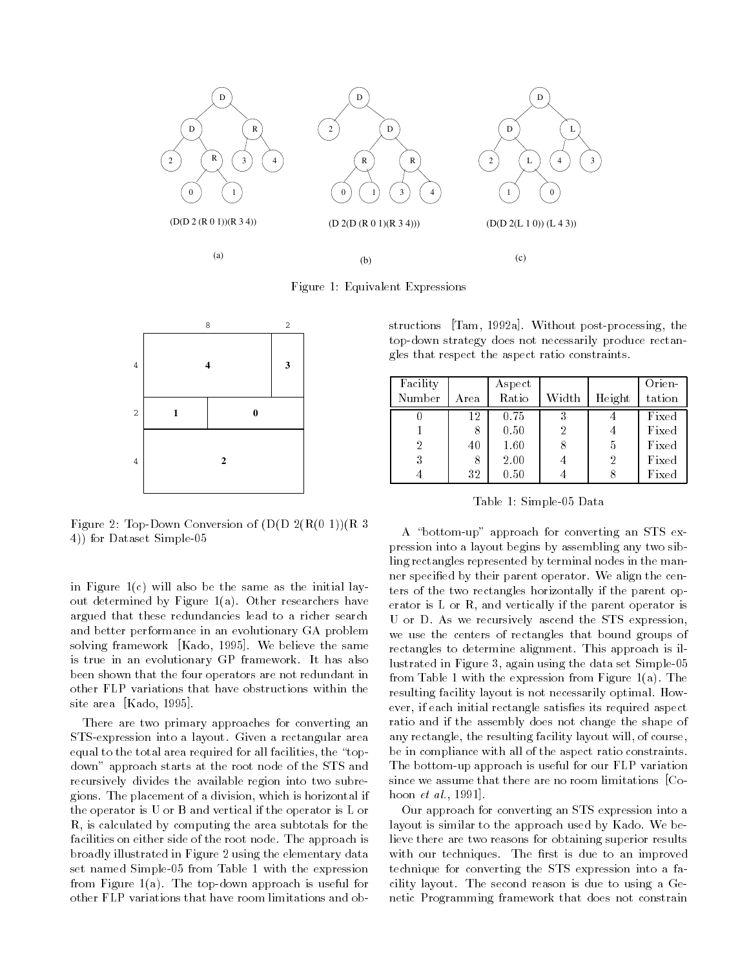

Figure 1: Equivalent Expressions



Figure TopDown Conversion of D D R R 4)) for Dataset Simple-05

in Figure , will also be the same as the same as the initial layer as the initial layer as the initial layer o out determined by Figure a Other researchers have argued that these redundancies lead to a richer search and better performance in an evolutionary GA problem solving framework [Kado, 1995]. We believe the same is true in an evolutionary GP framework It has also been shown that the four operators are not redundant in other FLP variations that have obstructions within the site area  $[Kado, 1995]$ .

There are two primary approaches for converting an STS-expression into a layout. Given a rectangular area equal to the total area required for all facilities, the "topdown" approach starts at the root node of the STS and recursively divides the available region into two subre gions The placement of a division which is horizontal if the operator is U or B and vertical if the operator is L or R, is calculated by computing the area subtotals for the facilities on either side of the root node. The approach is broadly illustrated in Figure 2 using the elementary data set named Simple-05 from Table 1 with the expression from Figure a The topdown approach is useful for other FLP variations that have room limitations and ob

structions  $\text{Tram}$ , 1992a. Without post-processing, the top-down strategy does not necessarily produce rectangles that respect the aspect ratio constraints

| Facility |      | Aspect   |       |                | Orien- |
|----------|------|----------|-------|----------------|--------|
| Number   | Area | Ratio    | Width | Height         | tation |
|          | 12   | 0.75     |       |                | Fixed  |
|          | 8    | 0.50     | 2     |                | Fixed  |
| 2        | 40   | 1.60     |       | 5              | Fixed  |
| 3        | 8    | 2.00     |       | $\overline{2}$ | Fixed  |
|          | 32   | $0.50\,$ |       |                | Fixed  |

Table 1: Simple-05 Data

A "bottom-up" approach for converting an STS expression into a layout begins by assembling any two sib ling rectangles represented by terminal nodes in the man ner specified by their parent operator. We align the centers of the two rectangles horizontally if the parent op erator is  $L$  or  $R$ , and vertically if the parent operator is U or D. As we recursively ascend the STS expression, we use the centers of rectangles that bound groups of rectangles to determine alignment. This approach is illustrated in Figure 3, again using the data set Simple-05 from Table with the expression from Figure a The resulting facility layout is not necessarily optimal. However, if each initial rectangle satisfies its required aspect ratio and if the assembly does not change the shape of any rectangle, the resulting facility layout will, of course, be in compliance with all of the aspect ratio constraints The bottom-up approach is useful for our FLP variation since we assume that there are no room limitations [Co- $\text{H}\circ\text{H}\circ\text{H}\circ\text{H}\circ\text{H}\circ\text{H}\circ\text{H}$ 

Our approach for converting an STS expression into a layout is similar to the approach used by Kado. We believe there are two reasons for obtaining superior results with our techniques. The first is due to an improved technique for converting the STS expression into a fa cility layout. The second reason is due to using a Genetic Programming framework that does not constrain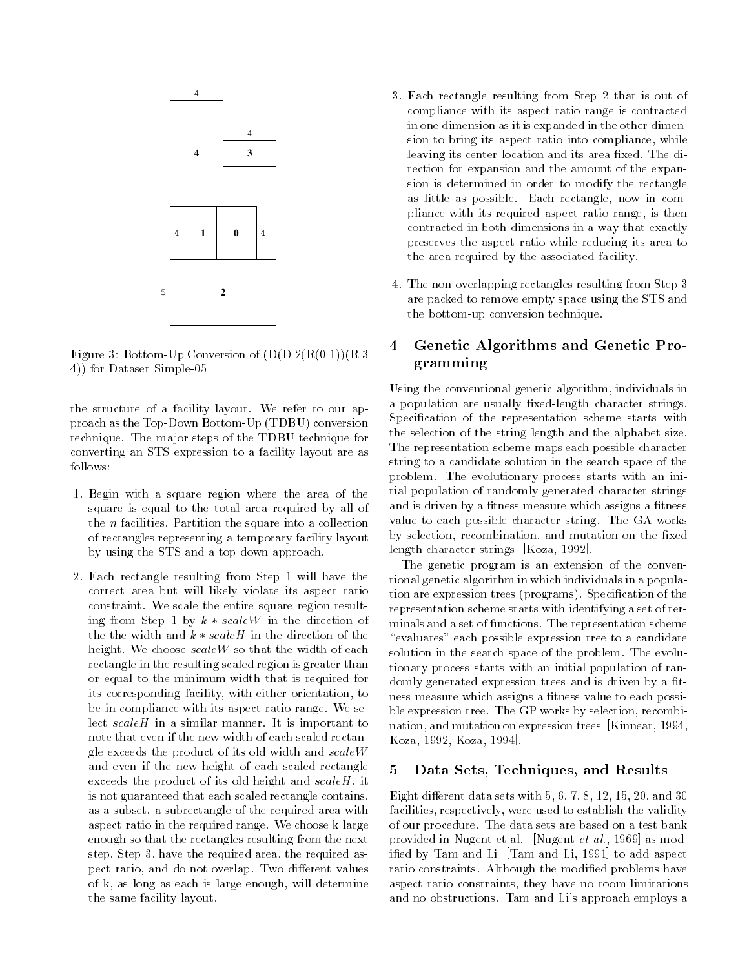

e experience and the property of the settlement of  $\{m\}$  . The settlement of  $\{m\}$ 4)) for Dataset Simple-05

the structure of a facility layout. We refer to our approach as the Top Down Bottom Bottom Bottom Bottom Bottom technique. The major steps of the TDBU technique for converting an STS expression to a facility layout are as follows

- 1. Begin with a square region where the area of the square is equal to the total area required by all of the  $n$  facilities. Partition the square into a collection of rectangles representing a temporary facility layout by using the STS and a top down approach
- 2. Each rectangle resulting from Step 1 will have the correct area but will likely violate its aspect ratio constraint. We scale the entire square region resulting from Step 1 by  $k * scaleW$  in the direction of the the width and  $k * scaleH$  in the direction of the height. We choose  $scaleW$  so that the width of each rectangle in the resulting scaled region is greater than or equal to the minimum width that is required for its corresponding facility, with either orientation, to be in compliance with its aspect ratio range. We select  $scaleH$  in a similar manner. It is important to note that even if the new width of each scaled rectan gle exceeds the product of its old width and  $scaleW$ and even if the new height of each scaled rectangle exceeds the product of its old height and  $scaleH$ , it is not guaranteed that each scaled rectangle contains as a subset, a subrectangle of the required area with aspect ratio in the required range We choose k large enough so that the rectangles resulting from the next step, Step 3, have the required area, the required aspect ratio, and do not overlap. Two different values of k, as long as each is large enough, will determine the same facility layout
- 3. Each rectangle resulting from Step 2 that is out of compliance with its aspect ratio range is contracted in one dimension as it is expanded in the other dimen sion to bring its aspect ratio into compliance, while leaving its center location and its area fixed. The direction for expansion and the amount of the expan sion is determined in order to modify the rectangle as little as possible. Each rectangle, now in compliance with its required aspect ratio range is then contracted in both dimensions in a way that exactly preserves the aspect ratio while reducing its area to the area required by the associated facility
- 4. The non-overlapping rectangles resulting from Step 3 are packed to remove empty space using the STS and the bottom-up conversion technique.

## Genetic Algorithms and Genetic Pro 4 gramming

Using the conventional genetic algorithm individuals in a population are usually fixed-length character strings. Specification of the representation scheme starts with the selection of the string length and the alphabet size The representation scheme maps each possible character string to a candidate solution in the search space of the problem. The evolutionary process starts with an initial population of randomly generated character strings and is driven by a fitness measure which assigns a fitness value to each possible character string The GA works by selection, recombination, and mutation on the fixed length character strings  $[Koza, 1992]$ .

The genetic program is an extension of the conven tional genetic algorithm in which individuals in a popula tion are expression trees programs Specication of the representation scheme starts with identifying a set of ter minals and a set of functions The representation scheme "evaluates" each possible expression tree to a candidate solution in the search space of the problem. The evolutionary process starts with an initial population of ran domly generated expression trees and is driven by a fitness measure which assigns a fitness value to each possible expression tree. The GP works by selection, recombination, and mutation on expression trees [Kinnear, 1994, Koza, 1992, Koza, 1994.

## 5 Data Sets, Techniques, and Results

Eight different data sets with  $5, 6, 7, 8, 12, 15, 20,$  and  $30$ facilities, respectively, were used to establish the validity of our procedure. The data sets are based on a test bank provided in Fragone of an  $\frac{1}{2}$  in agone be well recept as mode ified by Tam and Li [Tam and Li, 1991] to add aspect ratio constraints. Although the modified problems have aspect ratio constraints, they have no room limitations and no obstructions. Tam and Li's approach employs a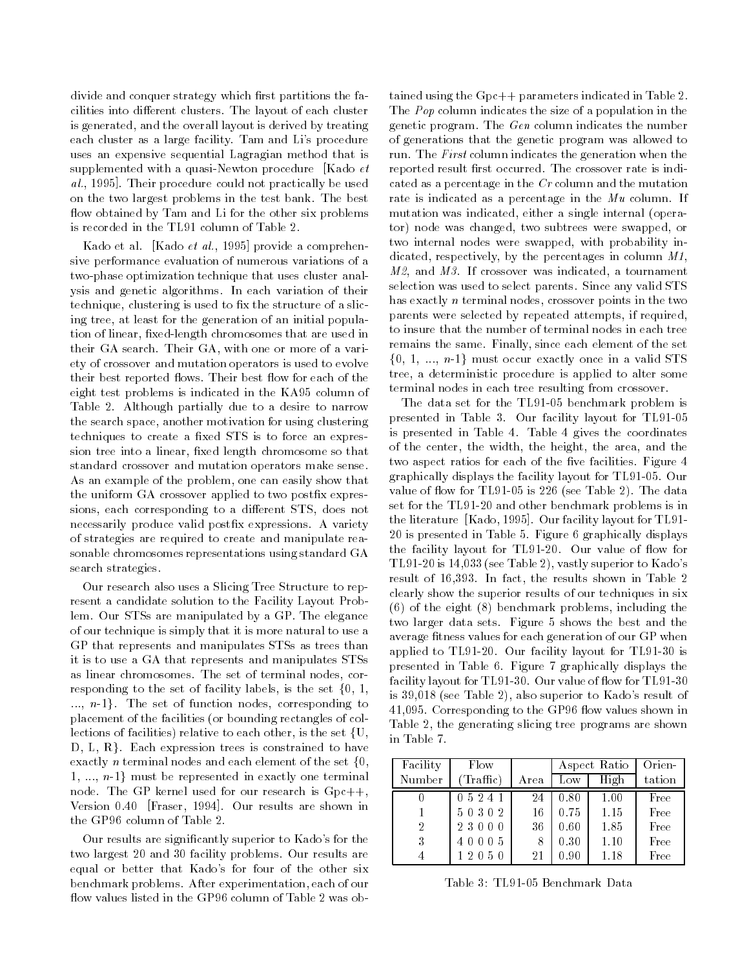divide and conquer strategy which first partitions the facilities into different clusters. The layout of each cluster is generated, and the overall layout is derived by treating each cluster as a large facility. Tam and Li's procedure uses an expensive sequential Lagragian method that is supplemented with a quasi-Newton procedure [Kado  $et$ wa, recopi radii procedure could not practically be used the on the two largest problems in the test bank The best -own obtained by Tam and Li for the other six problems of the other six problems of the other six problems of the other six problems of the other six problems of the other six problems of the other six problems of the othe is recorded in the TL91 column of Table 2.

kado et al-prado et all-ree provide a comprehensive performance evaluation of numerous variations of a two-phase optimization technique that uses cluster analysis and genetic algorithms In each variation of their technique, clustering is used to fix the structure of a slicing tree, at least for the generation of an initial population of linear, fixed-length chromosomes that are used in their GA search. Their GA, with one or more of a variety of crossover and mutation operators is used to evolve their best reported network - and the state in the state of the  $\sim$ eight test problems is indicated in the KA95 column of Table 2. Although partially due to a desire to narrow the search space, another motivation for using clustering techniques to create a fixed STS is to force an expression tree into a linear, fixed length chromosome so that standard crossover and mutation operators make sense As an example of the problem, one can easily show that the uniform GA crossover applied to two postfix expressions, each corresponding to a different STS, does not necessarily produce valid postfix expressions. A variety of strategies are required to create and manipulate rea sonable chromosomes representations using standard GA search strategies

Our research also uses a Slicing Tree Structure to rep resent a candidate solution to the Facility Layout Prob lem. Our STSs are manipulated by a GP. The elegance of our technique is simply that it is more natural to use a GP that represents and manipulates STSs as trees than it is to use a GA that represents and manipulates STSs as linear chromosomes. The set of terminal nodes, corresponding to the set of facility labels, is the set  $\{0, 1, \ldots\}$  $..., n-1$ . The set of function nodes, corresponding to placement of the facilities (i.e. the facilities of collection of collection and  $\mathcal{L}$ lections of facilities) relative to each other, is the set  $\{U,$  $D, L, R$ . Each expression trees is constrained to have exactly *n* terminal nodes and each element of the set  $\{0,$ 1, ...,  $n-1$  must be represented in exactly one terminal node. The GP kernel used for our research is  $Gpc++$ , Version  $0.40$  [Fraser, 1994]. Our results are shown in the GP96 column of Table 2.

Our results are significantly superior to Kado's for the two largest 20 and 30 facility problems. Our results are equal or better that Kado's for four of the other six benchmark problems After experimentation each of our

tained using the  $Gpc++$  parameters indicated in Table 2. The Pop column indicates the size of a population in the genetic program The Gen column indicates the number of generations that the genetic program was allowed to run. The First column indicates the generation when the reported result first occurred. The crossover rate is indicated as a percentage in the Cr column and the mutation rate is indicated as a percentage in the  $Mu$  column. If mutation was indicated either a single internal opera tor) node was changed, two subtrees were swapped, or two internal nodes were swapped, with probability indicated, respectively, by the percentages in column  $M1$ ,  $M2$ , and  $M3$ . If crossover was indicated, a tournament selection was used to select parents. Since any valid STS has exactly  $n$  terminal nodes, crossover points in the two parents were selected by repeated attempts if required to insure that the number of terminal nodes in each tree remains the same Finally since each element of the set  $\{0, 1, ..., n-1\}$  must occur exactly once in a valid STS tree, a deterministic procedure is applied to alter some terminal nodes in each tree resulting from crossover

The data set for the TL91-05 benchmark problem is presented in Table 3. Our facility layout for TL91-05 is presented in Table 4. Table 4 gives the coordinates of the center, the width, the height, the area, and the two aspect ratios for each of the five facilities. Figure 4 graphically displays the facility layout for TL91-05. Our value of  $\mathcal{L}$  -data set  $\mathcal{L}$  is  $\mathcal{L}$  is  $\mathcal{L}$  is  $\mathcal{L}$  is  $\mathcal{L}$  and  $\mathcal{L}$ set for the TL91-20 and other benchmark problems is in the literature  $[Kado, 1995]$ . Our facility layout for TL91-20 is presented in Table 5. Figure 6 graphically displays the facility layout for  $\mathcal{A}$  is a set of - our value of - ow for - ow for - ow for - ow for - ow for - ow for see Table is the state of the Table of the Second superior to the second state of the second state of the second state of the second state of the second state of the second state of the second state of the second state of result of  $16,393$ . In fact, the results shown in Table 2 clearly show the superior results of our techniques in six  $\mathcal{L}_{\mathcal{D}}$  is the eight  $\mathcal{L}_{\mathcal{D}}$  including the eight of the eight of the eight of the eight of the eight of the eight of the eight of the eight of the eight of the eight of the eight of the eight of the eight of two larger data sets. Figure 5 shows the best and the average fitness values for each generation of our GP when applied to TL91-20. Our facility layout for TL91-30 is presented in Table 6. Figure 7 graphically displays the facility in the fact that the contract of the complete of the state of  $\sim$ se so primer was seen also superiored to money also superiored and own is a corresponding to the GP - to the GP - the GP - the GP - the GP - the GP - the GP - the GP - the GP - Table 2, the generating slicing tree programs are shown in Table

| Facility       | Flow   |      |      | Aspect Ratio | Orien- |
|----------------|--------|------|------|--------------|--------|
| Number         | (That) | Area | Low  | High         | tation |
|                | 05241  | 24   | 0.80 | 1.00         | Free   |
|                | 50302  | 16   | 0.75 | 1.15         | Free   |
| $\overline{2}$ | 23000  | 36   | 0.60 | 1.85         | Free   |
| 3              | 40005  | 8    | 0.30 | 1.10         | Free   |
|                | 12050  | 21   | 0.90 | 1.18         | Free   |

Table 3: TL91-05 Benchmark Data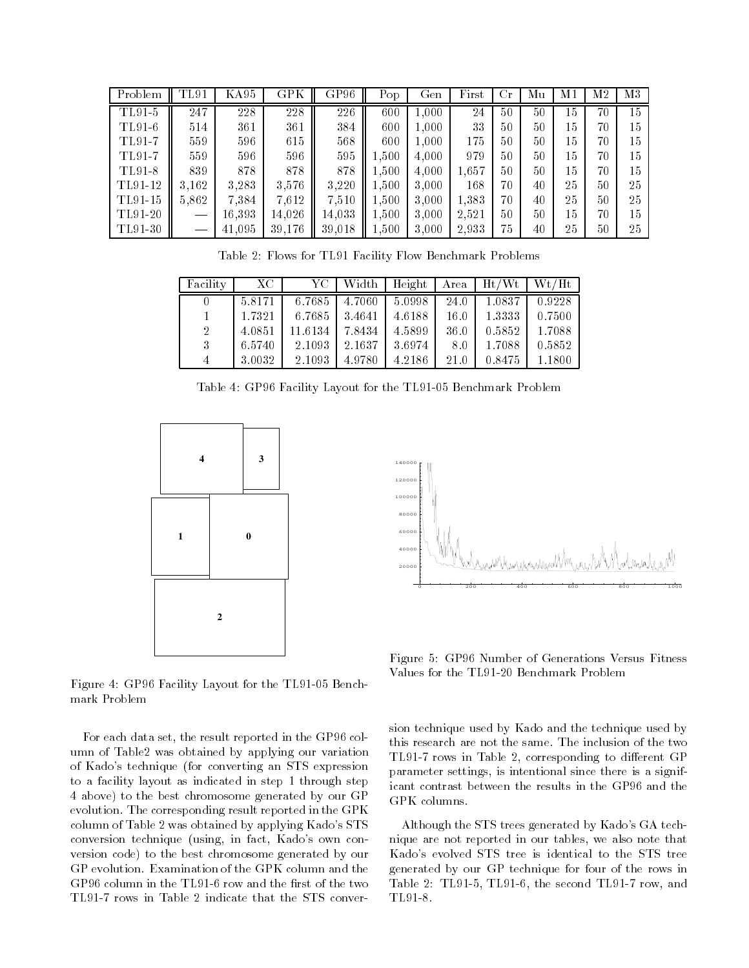| Problem | TL91              | KA95   | GPK    | GP96   | Pop       | Gen   | First | Сr | Мu | М1 | M2 | M3 |
|---------|-------------------|--------|--------|--------|-----------|-------|-------|----|----|----|----|----|
| TL91-5  | 247               | 228    | 228    | 226    | 600       | 1.000 | 24    | 50 | 50 | 15 | 70 | 15 |
| TL91-6  | 514               | 361    | 361    | 384    | 600       | 1,000 | 33    | 50 | 50 | 15 | 70 | 15 |
| TL91-7  | 559               | 596    | 615    | 568    | 600       | 1.000 | 175   | 50 | 50 | 15 | 70 | 15 |
| TL91-7  | 559               | 596    | 596    | 595    | $1.500\,$ | 4.000 | 979   | 50 | 50 | 15 | 70 | 15 |
| TL91-8  | 839               | 878    | 878    | 878    | 1,500     | 4,000 | 1,657 | 50 | 50 | 15 | 70 | 15 |
| TL91-12 | 3.162             | 3,283  | 3,576  | 3,220  | 1.500     | 3,000 | 168   | 70 | 40 | 25 | 50 | 25 |
| TL91-15 | 5.862             | 7,384  | 7,612  | 7,510  | $1.500\,$ | 3,000 | 1,383 | 70 | 40 | 25 | 50 | 25 |
| TL91-20 | $\hspace{0.05cm}$ | 16.393 | 14.026 | 14.033 | 1.500     | 3,000 | 2.521 | 50 | 50 | 15 | 70 | 15 |
| TL91-30 |                   | 41.095 | 39.176 | 39,018 | 1,500     | 3,000 | 2.933 | 75 | 40 | 25 | 50 | 25 |

Table 2: Flows for TL91 Facility Flow Benchmark Problems

| Facility       | XC.    | YC-     | Width  | Height | Area | Ht/Wt  | Wt/Ht  |
|----------------|--------|---------|--------|--------|------|--------|--------|
|                | 5.8171 | 6.7685  | 4.7060 | 5.0998 | 24.0 | 1.0837 | 0.9228 |
|                | 1.7321 | 6.7685  | 3.4641 | 4.6188 | 16.0 | 1.3333 | 0.7500 |
| $\overline{2}$ | 4.0851 | 11.6134 | 7.8434 | 4.5899 | 36.0 | 0.5852 | 1.7088 |
| 3              | 6.5740 | 2 1093  | 2.1637 | 3.6974 | 8.0  | 1.7088 | 0.5852 |
| 4              | 3.0032 | 2 1093  | 4.9780 | 4.2186 | 21.0 | 0.8475 | 1.1800 |

Table 4: GP96 Facility Layout for the TL91-05 Benchmark Problem





Figure 4: GP96 Facility Layout for the TL91-05 Benchmark Problem

For each data set, the result reported in the GP96 column of Table2 was obtained by applying our variation of teachers are converting and the converting and state and state and state and state and state and state and to a facility layout as indicated in step 1 through step 4 above) to the best chromosome generated by our GP evolution The corresponding result reported in the GPK column of Table 2 was obtained by applying Kado's STS conversion technique using in fact Kados own con version code) to the best chromosome generated by our GP evolution Examination of the GPK column and the GP96 column in the TL91-6 row and the first of the two TL91-7 rows in Table 2 indicate that the STS conver-

Figure 5: GP96 Number of Generations Versus Fitness Values for the TL91-20 Benchmark Problem

sion technique used by Kado and the technique used by this research are not the same. The inclusion of the two TL91-7 rows in Table 2, corresponding to different GP parameter settings, is intentional since there is a significant contrast between the results in the GP96 and the GPK columns

Although the STS trees generated by Kado's GA technique are not reported in our tables, we also note that Kado's evolved STS tree is identical to the STS tree generated by our GP technique for four of the rows in Table 2: TL91-5, TL91-6, the second TL91-7 row, and TL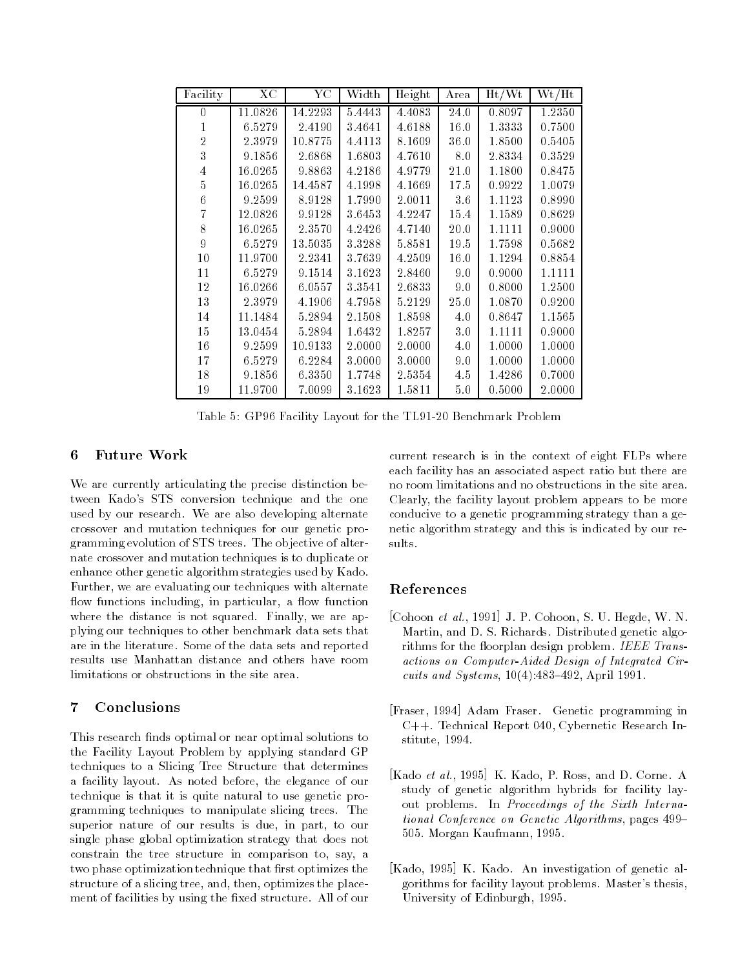| Facility         | XC        | $\rm YC$ | Width     | Height | Area | $\mathrm{Ht}/\mathrm{Wt}$ | Wt/Ht  |
|------------------|-----------|----------|-----------|--------|------|---------------------------|--------|
| 0                | 11.0826   | 14.2293  | 5.4443    | 4.4083 | 24.0 | 0.8097                    | 1.2350 |
| 1                | 6.5279    | 2.4190   | 3.4641    | 4.6188 | 16.0 | 1.3333                    | 0.7500 |
| $\overline{2}$   | 2 3 9 7 9 | 10.8775  | 4.4113    | 8.1609 | 36.0 | 1.8500                    | 0.5405 |
| 3                | 9.1856    | 2.6868   | 1.6803    | 4.7610 | 8.0  | 2.8334                    | 0.3529 |
| 4                | 16.0265   | 9.8863   | 4.2186    | 4.9779 | 21.0 | 1.1800                    | 0.8475 |
| 5                | 16.0265   | 14.4587  | 4.1998    | 4.1669 | 17.5 | 0.9922                    | 1.0079 |
| 6                | 9.2599    | 8.9128   | 1.7990    | 2.0011 | 36   | 1.1123                    | 0.8990 |
| 7                | 12.0826   | 9.9128   | 3.6453    | 4.2247 | 15.4 | 1.1589                    | 0.8629 |
| 8                | 16.0265   | 2.3570   | 4.2426    | 4.7140 | 20.0 | 1.1111                    | 0.9000 |
| $\boldsymbol{9}$ | 6.5279    | 13.5035  | 3.3288    | 5.8581 | 19.5 | 1.7598                    | 0.5682 |
| 10               | 11.9700   | 2.2341   | 3.7639    | 4.2509 | 16.0 | 1.1294                    | 0.8854 |
| 11               | 6.5279    | 9.1514   | 3.1623    | 2.8460 | 9.0  | 0.9000                    | 1.1111 |
| 12               | 16.0266   | 6.0557   | 3 3 5 4 1 | 2.6833 | 9.0  | 0.8000                    | 1.2500 |
| 13               | 2 3 9 7 9 | 4.1906   | 4.7958    | 5.2129 | 25.0 | 1.0870                    | 0.9200 |
| 14               | 11.1484   | 5.2894   | 2.1508    | 1.8598 | 4.0  | 0.8647                    | 1.1565 |
| 15               | 13.0454   | 5.2894   | 1.6432    | 1.8257 | 3.0  | 1.1111                    | 0.9000 |
| 16               | 9.2599    | 10.9133  | 2.0000    | 2.0000 | 4.0  | 1.0000                    | 1.0000 |
| 17               | 6.5279    | 6.2284   | 3.0000    | 3.0000 | 9.0  | 1.0000                    | 1.0000 |
| 18               | 9.1856    | 6.3350   | 1.7748    | 2.5354 | 4.5  | 1.4286                    | 0.7000 |
| 19               | 11.9700   | 7.0099   | 3.1623    | 1.5811 | 5.0  | 0.5000                    | 2.0000 |

Table 5: GP96 Facility Layout for the TL91-20 Benchmark Problem

## 6 Future Work

We are currently articulating the precise distinction be tween Kado's STS conversion technique and the one used by our research. We are also developing alternate crossover and mutation techniques for our genetic pro gramming evolution of STS trees. The objective of alternate crossover and mutation techniques is to duplicate or enhance other genetic algorithm strategies used by Kado Further, we are evaluating our techniques with alternate ow functions including in particular a - own functions in particular a - own functions in particular a - own functions in particular a - own functions in particular a - own functions in particular a - own functions in part where the distance is not squared. Finally, we are applying our techniques to other benchmark data sets that are in the literature. Some of the data sets and reported results use Manhattan distance and others have room limitations or obstructions in the site area.

### $\overline{7}$ Conclusions

This research finds optimal or near optimal solutions to the Facility Layout Problem by applying standard GP techniques to a Slicing Tree Structure that determines a facility layout. As noted before, the elegance of our technique is that it is quite natural to use genetic pro gramming techniques to manipulate slicing trees The superior nature of our results is due, in part, to our single phase global optimization strategy that does not constrain the tree structure in comparison to, say, a two phase optimization technique that first optimizes the structure of a slicing tree, and, then, optimizes the placement of facilities by using the fixed structure. All of our current research is in the context of eight FLPs where each facility has an associated aspect ratio but there are no room limitations and no obstructions in the site area Clearly, the facility layout problem appears to be more conducive to a genetic programming strategy than a ge netic algorithm strategy and this is indicated by our re sults.

# References

- $\mathcal{L}$  cohoon s we see Fig. s.  $\mathcal{L}$  . Cohoon, s.  $\mathcal{L}$  . The state  $\mathcal{L}$ Martin, and D. S. Richards. Distributed genetic algorithms for the -oorplan design problem IEEE Trans actions on ComputerAided Design of Integrated Cir and Systems and Systems and Systems and Systems and Systems and Systems and Systems and Systems and Systems and Systems and Systems and Systems and Systems and Systems and Systems and Systems and Systems and Systems and Sy
- [Fraser, 1994] Adam Fraser. Genetic programming in C++. Technical Report 040, Cybernetic Research Institute, 1994.
- $k$  and  $k$  and  $k$  and  $k$  are  $k$  and  $k$  and  $k$  and  $k$  and  $k$  and  $k$  and  $k$  and  $k$  and  $k$  and  $k$  and  $k$  and  $k$  and  $k$  and  $k$  and  $k$  and  $k$  and  $k$  and  $k$  and  $k$  and  $k$  and  $k$  and  $k$  and  $k$  and  $k$  a study of genetic algorithm hybrids for facility lay out problems. In Proceedings of the Sixth International Conference on Genetic Algorithms, pages 499– 505. Morgan Kaufmann, 1995.
- [Kado, 1995] K. Kado. An investigation of genetic algorithms for facility layout problems. Master's thesis, University of Edinburgh, 1995.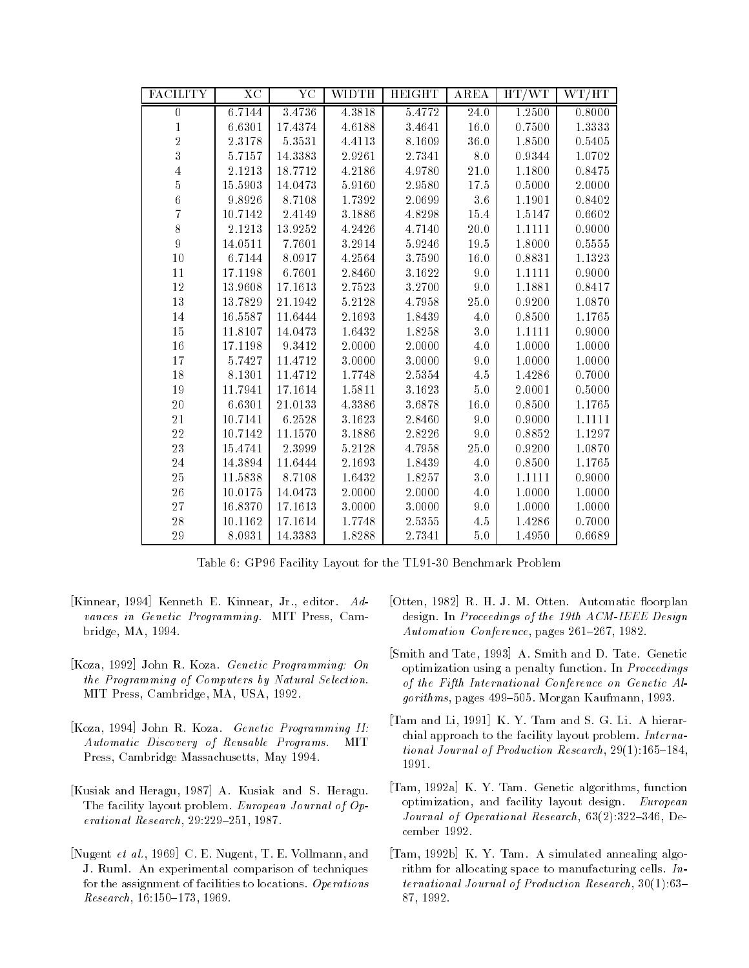| <b>FACILITY</b>  | <b>XC</b> | $\rm Y\bar C$ | WIDTH  | <b>HEIGHT</b> | AREA              | HT/WT  | WT/HT  |
|------------------|-----------|---------------|--------|---------------|-------------------|--------|--------|
| $\boldsymbol{0}$ | 6.7144    | 3.4736        | 4.3818 | 5.4772        | $\overline{24.0}$ | 1.2500 | 0.8000 |
| $\mathbf{1}$     | 6.6301    | 17.4374       | 4.6188 | 3.4641        | 16.0              | 0.7500 | 1.3333 |
| $\overline{2}$   | 2.3178    | 5.3531        | 4.4113 | 8.1609        | 36.0              | 1.8500 | 0.5405 |
| 3                | 5.7157    | 14.3383       | 2.9261 | 2.7341        | 8.0               | 0.9344 | 1.0702 |
| $\overline{4}$   | 2.1213    | 18.7712       | 4.2186 | 4.9780        | $2\,1.0$          | 1.1800 | 0.8475 |
| $\overline{5}$   | 15.5903   | 14.0473       | 5.9160 | 2.9580        | 17.5              | 0.5000 | 2.0000 |
| 6                | 9.8926    | 8.7108        | 1.7392 | 2.0699        | $3.6\,$           | 1.1901 | 0.8402 |
| $\overline{7}$   | 10.7142   | 2.4149        | 3.1886 | 4.8298        | 15.4              | 1.5147 | 0.6602 |
| 8                | 2.1213    | 13.9252       | 4.2426 | 4.7140        | 20.0              | 1.1111 | 0.9000 |
| 9                | 14.0511   | 7.7601        | 3.2914 | 5.9246        | 19.5              | 1.8000 | 0.5555 |
| 10               | 6.7144    | 8.0917        | 4.2564 | 3.7590        | 16.0              | 0.8831 | 1.1323 |
| 11               | 17.1198   | 6.7601        | 2.8460 | 3.1622        | 9.0               | 1.1111 | 0.9000 |
| $12\,$           | 13.9608   | 17.1613       | 2.7523 | 3.2700        | 9.0               | 1.1881 | 0.8417 |
| 13               | 13.7829   | 21.1942       | 5.2128 | 4.7958        | 25.0              | 0.9200 | 1.0870 |
| 14               | 16.5587   | 11.6444       | 2.1693 | 1.8439        | 4.0               | 0.8500 | 1.1765 |
| 15               | 11.8107   | 14.0473       | 1.6432 | 1.8258        | $3.0\,$           | 1.1111 | 0.9000 |
| 16               | 17.1198   | 9 3 4 1 2     | 2.0000 | 2.0000        | 4.0               | 1.0000 | 1.0000 |
| 17               | 5.7427    | 11.4712       | 3.0000 | 3.0000        | 9.0               | 1.0000 | 1.0000 |
| 18               | 8.1301    | 11.4712       | 1.7748 | $2.5354\,$    | 4.5               | 1.4286 | 0.7000 |
| 19               | 11.7941   | 17.1614       | 1.5811 | 3.1623        | 5.0               | 2.0001 | 0.5000 |
| 20               | 6.6301    | 21.0133       | 4.3386 | 3.6878        | 16.0              | 0.8500 | 1.1765 |
| 21               | 10.7141   | 6.2528        | 3.1623 | 2.8460        | 9.0               | 0.9000 | 1.1111 |
| 22               | 10.7142   | 11.1570       | 3.1886 | 2.8226        | 9.0               | 0.8852 | 1.1297 |
| $23\,$           | 15.4741   | 2 3 9 9 9     | 5.2128 | 4.7958        | 25.0              | 0.9200 | 1.0870 |
| $24\,$           | 14.3894   | 11.6444       | 2.1693 | 1.8439        | $4.0\,$           | 0.8500 | 1.1765 |
| 25               | 11.5838   | 8.7108        | 1.6432 | 1.8257        | 3.0               | 1.1111 | 0.9000 |
| 26               | 10.0175   | 14.0473       | 2.0000 | 2.0000        | 4.0               | 1.0000 | 1.0000 |
| 27               | 16.8370   | 17.1613       | 3.0000 | 3.0000        | 9.0               | 1.0000 | 1.0000 |
| 28               | 10.1162   | 17.1614       | 1.7748 | 2.5355        | 4.5               | 1.4286 | 0.7000 |
| 29               | 8.0931    | 14.3383       | 1.8288 | 2.7341        | $5.0\,$           | 1.4950 | 0.6689 |

Table 6: GP96 Facility Layout for the TL91-30 Benchmark Problem

- [Kinnear, 1994] Kenneth E. Kinnear, Jr., editor.  $Ad$ vances in Genetic Programming. MIT Press, Cambridge, MA, 1994.
- [Koza, 1992] John R. Koza. Genetic Programming: On the Programming of Computers by Natural Selection MIT Press, Cambridge, MA, USA, 1992.
- $[Koza, 1994]$  John R. Koza. Genetic Programming II:  $A$ utomatic Discovery of Reusable Programs. **MIT** Press, Cambridge Massachusetts, May 1994.
- [Kusiak and Heragu, 1987] A. Kusiak and S. Heragu. The facility layout problem. European Journal of Operational Research, 29:229-251, 1987.
- proximation and the contraction of the continuum contraction of the contraction of the contraction of the contraction of the contraction of the contraction of the contraction of the contraction of the contraction of the co J. Ruml. An experimental comparison of techniques for the assignment of facilities to locations. Operations Research, 16:150-173, 1969
- $\mathcal{O}$  and  $\mathcal{O}$  and  $\mathcal{O}$  are  $\mathcal{O}$  and  $\mathcal{O}$  are  $\mathcal{O}$  and  $\mathcal{O}$  are  $\mathcal{O}$  and  $\mathcal{O}$  are  $\mathcal{O}$  and  $\mathcal{O}$  are  $\mathcal{O}$  and  $\mathcal{O}$  are  $\mathcal{O}$  and  $\mathcal{O}$  are  $\mathcal{O}$  and  $\mathcal{O}$  are design. In Proceedings of the 19th ACM-IEEE Design  $A~utomation~ Conference,~pages~261–267,~1982.$
- [Smith and Tate, 1993] A. Smith and D. Tate. Genetic optimization using a penalty function In Proceedings of the Fifth International Conference on Genetic Al gorithms, pages 499-505. Morgan Kaufmann, 1993.
- [Tam and Li, 1991] K. Y. Tam and S. G. Li. A hierarchial approach to the facility layout problem. International and the production research the production  $\mathbb{R}^n$ 1991.
- [Tam, 1992a] K. Y. Tam. Genetic algorithms, function optimization, and facility layout design.  $European$ Journal of Operational Research De cember 1992.
- [Tam, 1992b] K. Y. Tam. A simulated annealing algorithm for allocating space to manufacturing cells.  $In$ ternational Journal of Production Research 87, 1992.